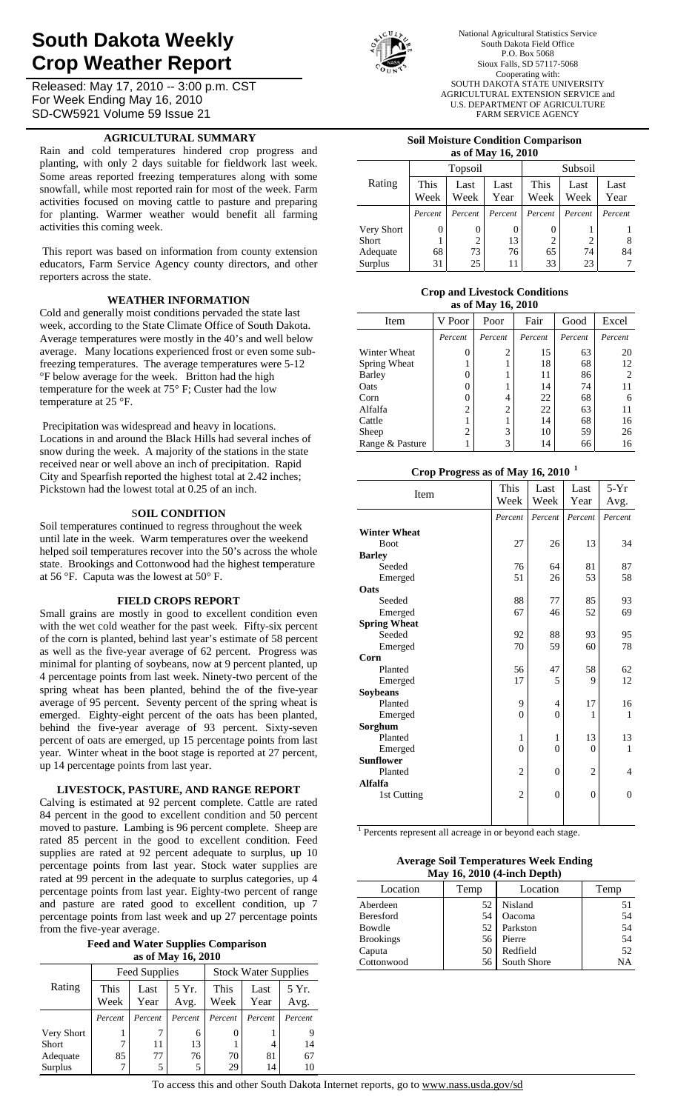# **South Dakota Weekly Crop Weather Report**

Released: May 17, 2010 -- 3:00 p.m. CST For Week Ending May 16, 2010 SD-CW5921 Volume 59 Issue 21

## **AGRICULTURAL SUMMARY**

Rain and cold temperatures hindered crop progress and planting, with only 2 days suitable for fieldwork last week. Some areas reported freezing temperatures along with some snowfall, while most reported rain for most of the week. Farm activities focused on moving cattle to pasture and preparing for planting. Warmer weather would benefit all farming activities this coming week.

 This report was based on information from county extension educators, Farm Service Agency county directors, and other reporters across the state.

### **WEATHER INFORMATION**

Cold and generally moist conditions pervaded the state last week, according to the State Climate Office of South Dakota. Average temperatures were mostly in the 40's and well below average. Many locations experienced frost or even some subfreezing temperatures. The average temperatures were 5-12 °F below average for the week. Britton had the high temperature for the week at 75° F; Custer had the low temperature at 25 °F.

 Precipitation was widespread and heavy in locations. Locations in and around the Black Hills had several inches of snow during the week. A majority of the stations in the state received near or well above an inch of precipitation. Rapid City and Spearfish reported the highest total at 2.42 inches; Pickstown had the lowest total at 0.25 of an inch.

#### S**OIL CONDITION**

Soil temperatures continued to regress throughout the week until late in the week. Warm temperatures over the weekend helped soil temperatures recover into the 50's across the whole state. Brookings and Cottonwood had the highest temperature at 56 °F. Caputa was the lowest at 50° F.

#### **FIELD CROPS REPORT**

Small grains are mostly in good to excellent condition even with the wet cold weather for the past week. Fifty-six percent of the corn is planted, behind last year's estimate of 58 percent as well as the five-year average of 62 percent. Progress was minimal for planting of soybeans, now at 9 percent planted, up 4 percentage points from last week. Ninety-two percent of the spring wheat has been planted, behind the of the five-year average of 95 percent. Seventy percent of the spring wheat is emerged. Eighty-eight percent of the oats has been planted, behind the five-year average of 93 percent. Sixty-seven percent of oats are emerged, up 15 percentage points from last year. Winter wheat in the boot stage is reported at 27 percent, up 14 percentage points from last year.

#### **LIVESTOCK, PASTURE, AND RANGE REPORT**

Calving is estimated at 92 percent complete. Cattle are rated 84 percent in the good to excellent condition and 50 percent moved to pasture. Lambing is 96 percent complete. Sheep are rated 85 percent in the good to excellent condition. Feed supplies are rated at 92 percent adequate to surplus, up 10 percentage points from last year. Stock water supplies are rated at 99 percent in the adequate to surplus categories, up 4 percentage points from last year. Eighty-two percent of range and pasture are rated good to excellent condition, up 7 percentage points from last week and up 27 percentage points from the five-year average.

**Feed and Water Supplies Comparison as of May 16, 2010** 

|            |                    | Feed Supplies |         | <b>Stock Water Supplies</b> |         |         |  |  |  |  |
|------------|--------------------|---------------|---------|-----------------------------|---------|---------|--|--|--|--|
| Rating     | This               | Last          | 5 Yr.   | This                        | Last    | 5 Yr.   |  |  |  |  |
|            | Week               | Year          | Avg.    | Week                        | Year    | Avg.    |  |  |  |  |
|            | Percent<br>Percent |               | Percent | Percent                     | Percent | Percent |  |  |  |  |
| Very Short |                    |               | 6       |                             |         |         |  |  |  |  |
| Short      | 7                  | 11            | 13      |                             |         | 14      |  |  |  |  |
| Adequate   | 85                 | 77            | 76      | 70                          | 81      | 67      |  |  |  |  |
| Surplus    | 7                  | 5             | 5       | 29                          | 14      | 10      |  |  |  |  |



National Agricultural Statistics Service South Dakota Field Office P.O. Box 5068 Sioux Falls, SD 57117-5068 Cooperating with: SOUTH DAKOTA STATE UNIVERSITY AGRICULTURAL EXTENSION SERVICE and U.S. DEPARTMENT OF AGRICULTURE FARM SERVICE AGENCY

#### **Soil Moisture Condition Comparison as of May 16, 2010**

|            | as of they to, surv          |          |              |                |              |              |  |  |  |  |
|------------|------------------------------|----------|--------------|----------------|--------------|--------------|--|--|--|--|
|            |                              | Topsoil  |              | Subsoil        |              |              |  |  |  |  |
| Rating     | This<br>Last<br>Week<br>Week |          | Last<br>Year | This<br>Week   | Last<br>Week | Last<br>Year |  |  |  |  |
|            | Percent                      | Percent  | Percent      | Percent        | Percent      | Percent      |  |  |  |  |
| Very Short | 0                            | $\theta$ |              |                |              |              |  |  |  |  |
| Short      |                              | 2        | 13           | $\overline{2}$ | 2            | 8            |  |  |  |  |
| Adequate   | 68                           | 73       | 76           | 65             | 74           | 84           |  |  |  |  |
| Surplus    | 31                           | 25       | 11           | 33             | 23           |              |  |  |  |  |

#### **Crop and Livestock Conditions as of May 16, 2010**

| as 01 iylay 10, 4010 |         |                |         |         |         |  |  |  |  |  |
|----------------------|---------|----------------|---------|---------|---------|--|--|--|--|--|
| Item                 | V Poor  | Poor           | Fair    | Good    | Excel   |  |  |  |  |  |
|                      | Percent | Percent        | Percent | Percent | Percent |  |  |  |  |  |
| Winter Wheat         | $_{0}$  | $\overline{c}$ | 15      | 63      | 20      |  |  |  |  |  |
| Spring Wheat         |         |                | 18      | 68      | 12      |  |  |  |  |  |
| Barley               | 0       |                | 11      | 86      |         |  |  |  |  |  |
| Oats                 | 0       |                | 14      | 74      | 11      |  |  |  |  |  |
| Corn                 | 0       | 4              | 22      | 68      | 6       |  |  |  |  |  |
| Alfalfa              | 2       | 2              | 22      | 63      | 11      |  |  |  |  |  |
| Cattle               |         |                | 14      | 68      | 16      |  |  |  |  |  |
| Sheep                | 2       | 3              | 10      | 59      | 26      |  |  |  |  |  |
| Range & Pasture      |         | 3              | 14      | 66      | 16      |  |  |  |  |  |

# **Crop Progress as of May 16, 2010 <sup>1</sup>**

| Item                | This           | Last           | Last           | $5-Yr$   |
|---------------------|----------------|----------------|----------------|----------|
|                     | Week           | Week           | Year           | Avg.     |
|                     | Percent        | Percent        | Percent        | Percent  |
| <b>Winter Wheat</b> |                |                |                |          |
| <b>Boot</b>         | 27             | 26             | 13             | 34       |
| <b>Barley</b>       |                |                |                |          |
| Seeded              | 76             | 64             | 81             | 87       |
| Emerged             | 51             | 26             | 53             | 58       |
| Oats                |                |                |                |          |
| Seeded              | 88             | 77             | 85             | 93       |
| Emerged             | 67             | 46             | 52             | 69       |
| <b>Spring Wheat</b> |                |                |                |          |
| Seeded              | 92             | 88             | 93             | 95       |
| Emerged             | 70             | 59             | 60             | 78       |
| Corn                |                |                |                |          |
| Planted             | 56             | 47             | 58             | 62       |
| Emerged             | 17             | 5              | 9              | 12       |
| Soybeans            |                |                |                |          |
| Planted             | 9              | 4              | 17             | 16       |
| Emerged             | $\theta$       | 0              | 1              | 1        |
| Sorghum             |                |                |                |          |
| Planted             | 1              | 1              | 13             | 13       |
| Emerged             | $\overline{0}$ | $\overline{0}$ | $\theta$       | 1        |
| <b>Sunflower</b>    |                |                |                |          |
| Planted             | $\overline{c}$ | $\overline{0}$ | $\overline{2}$ | 4        |
| Alfalfa             |                |                |                |          |
| 1st Cutting         | $\overline{2}$ | $\theta$       | $\overline{0}$ | $\theta$ |
|                     |                |                |                |          |
|                     |                |                |                |          |

<sup>1</sup> Percents represent all acreage in or beyond each stage.

**Average Soil Temperatures Week Ending May 16, 2010 (4-inch Depth)** 

 $\mathbf{I}$ 

| Location         | Temp            | Location    | Temp |
|------------------|-----------------|-------------|------|
| Aberdeen         | 52 <sub>1</sub> | Nisland     | 51   |
| Beresford        | 54              | Oacoma      | 54   |
| Bowdle           | 52 <sub>1</sub> | Parkston    | 54   |
| <b>Brookings</b> | 56 I            | Pierre      | 54   |
| Caputa           | 50 I            | Redfield    | 52   |
| Cottonwood       | 56 I            | South Shore | NΑ   |